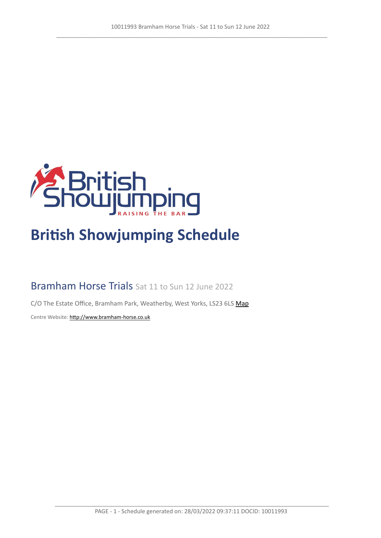

# **British Showjumping Schedule**

# Bramham Horse Trials Sat 11 to Sun 12 June 2022

C/O The Estate Office, Bramham Park, Weatherby, West Yorks, LS23 6LS [Map](https://www.google.com/maps/@53.8701511,-1.3803292,16z)

Centre Website: <http://www.bramham-horse.co.uk>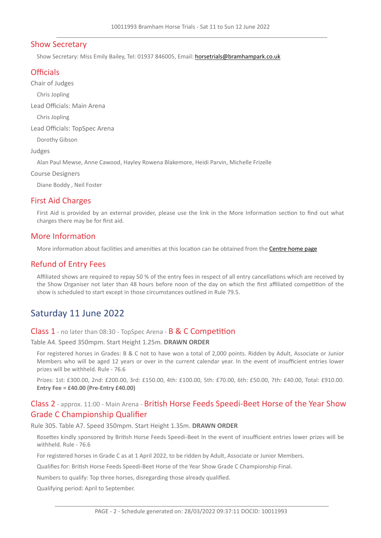# Show Secretary

Show Secretary: Miss Emily Bailey, Tel: 01937 846005, Email: <horsetrials@bramhampark.co.uk>

# **Officials**

Chair of Judges

Chris Jopling

Lead Officials: Main Arena

Chris Jopling

Lead Officials: TopSpec Arena

Dorothy Gibson

Judges

Alan Paul Mewse, Anne Cawood, Hayley Rowena Blakemore, Heidi Parvin, Michelle Frizelle

Course Designers

Diane Boddy , Neil Foster

# First Aid Charges

First Aid is provided by an external provider, please use the link in the More Information section to find out what charges there may be for first aid.

# More Information

More information about facilities and amenities at this location can be obtained from the [Centre](http://www.bramham-horse.co.uk) [home](http://www.bramham-horse.co.uk) [page](http://www.bramham-horse.co.uk)

# Refund of Entry Fees

Affiliated shows are required to repay 50 % of the entry fees in respect of all entry cancellations which are received by the Show Organiser not later than 48 hours before noon of the day on which the first affiliated competition of the show is scheduled to start except in those circumstances outlined in Rule 79.5.

# Saturday 11 June 2022

Class 1 - no later than 08:30 - TopSpec Arena - B & C Competition

Table A4. Speed 350mpm. Start Height 1.25m. **DRAWN ORDER**

For registered horses in Grades: B & C not to have won a total of 2,000 points. Ridden by Adult, Associate or Junior Members who will be aged 12 years or over in the current calendar year. In the event of insufficient entries lower prizes will be withheld. Rule - 76.6

Prizes: 1st: £300.00, 2nd: £200.00, 3rd: £150.00, 4th: £100.00, 5th: £70.00, 6th: £50.00, 7th: £40.00, Total: £910.00. **Entry Fee = £40.00 (Pre-Entry £40.00)**

# Class 2 - approx. 11:00 - Main Arena - British Horse Feeds Speedi-Beet Horse of the Year Show Grade C Championship Qualifier

Rule 305. Table A7. Speed 350mpm. Start Height 1.35m. **DRAWN ORDER**

Rosettes kindly sponsored by British Horse Feeds Speedi-Beet In the event of insufficient entries lower prizes will be withheld. Rule - 76.6

For registered horses in Grade C as at 1 April 2022, to be ridden by Adult, Associate or Junior Members.

Qualifies for: British Horse Feeds Speedi-Beet Horse of the Year Show Grade C Championship Final.

Numbers to qualify: Top three horses, disregarding those already qualified.

Qualifying period: April to September.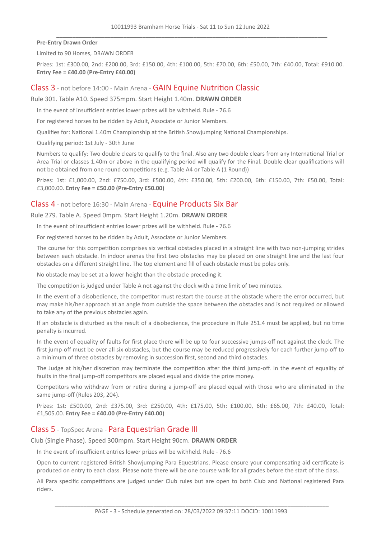**Pre-Entry Drawn Order**

Limited to 90 Horses, DRAWN ORDER

Prizes: 1st: £300.00, 2nd: £200.00, 3rd: £150.00, 4th: £100.00, 5th: £70.00, 6th: £50.00, 7th: £40.00, Total: £910.00. **Entry Fee = £40.00 (Pre-Entry £40.00)**

### Class 3 - not before 14:00 - Main Arena - GAIN Equine Nutrition Classic

Rule 301. Table A10. Speed 375mpm. Start Height 1.40m. **DRAWN ORDER**

In the event of insufficient entries lower prizes will be withheld. Rule - 76.6

For registered horses to be ridden by Adult, Associate or Junior Members.

Qualifies for: National 1.40m Championship at the British Showjumping National Championships.

Qualifying period: 1st July - 30th June

Numbers to qualify: Two double clears to qualify to the final. Also any two double clears from any International Trial or Area Trial or classes 1.40m or above in the qualifying period will qualify for the Final. Double clear qualifications will not be obtained from one round competitions (e.g. Table A4 or Table A (1 Round))

Prizes: 1st: £1,000.00, 2nd: £750.00, 3rd: £500.00, 4th: £350.00, 5th: £200.00, 6th: £150.00, 7th: £50.00, Total: £3,000.00. **Entry Fee = £50.00 (Pre-Entry £50.00)**

## Class 4 - not before 16:30 - Main Arena - Equine Products Six Bar

Rule 279. Table A. Speed 0mpm. Start Height 1.20m. **DRAWN ORDER**

In the event of insufficient entries lower prizes will be withheld. Rule - 76.6

For registered horses to be ridden by Adult, Associate or Junior Members.

The course for this competition comprises six vertical obstacles placed in a straight line with two non-jumping strides between each obstacle. In indoor arenas the first two obstacles may be placed on one straight line and the last four obstacles on a different straight line. The top element and fill of each obstacle must be poles only.

No obstacle may be set at a lower height than the obstacle preceding it.

The competition is judged under Table A not against the clock with a time limit of two minutes.

In the event of a disobedience, the competitor must restart the course at the obstacle where the error occurred, but may make his/her approach at an angle from outside the space between the obstacles and is not required or allowed to take any of the previous obstacles again.

If an obstacle is disturbed as the result of a disobedience, the procedure in Rule 251.4 must be applied, but no time penalty is incurred.

In the event of equality of faults for first place there will be up to four successive jumps-off not against the clock. The first jump-off must be over all six obstacles, but the course may be reduced progressively for each further jump-off to a minimum of three obstacles by removing in succession first, second and third obstacles.

The Judge at his/her discretion may terminate the competition after the third jump-off. In the event of equality of faults in the final jump-off competitors are placed equal and divide the prize money.

Competitors who withdraw from or retire during a jump-off are placed equal with those who are eliminated in the same jump-off (Rules 203, 204).

Prizes: 1st: £500.00, 2nd: £375.00, 3rd: £250.00, 4th: £175.00, 5th: £100.00, 6th: £65.00, 7th: £40.00, Total: £1,505.00. **Entry Fee = £40.00 (Pre-Entry £40.00)**

# Class 5 - TopSpec Arena - Para Equestrian Grade III

Club (Single Phase). Speed 300mpm. Start Height 90cm. **DRAWN ORDER**

In the event of insufficient entries lower prizes will be withheld. Rule - 76.6

Open to current registered British Showjumping Para Equestrians. Please ensure your compensating aid certificate is produced on entry to each class. Please note there will be one course walk for all grades before the start of the class.

All Para specific competitions are judged under Club rules but are open to both Club and National registered Para riders.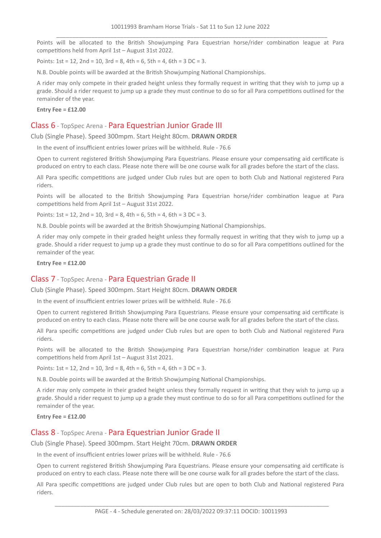Points will be allocated to the British Showjumping Para Equestrian horse/rider combination league at Para competitions held from April 1st – August 31st 2022.

Points:  $1st = 12$ ,  $2nd = 10$ ,  $3rd = 8$ ,  $4th = 6$ ,  $5th = 4$ ,  $6th = 3$  DC = 3.

N.B. Double points will be awarded at the British Showjumping National Championships.

A rider may only compete in their graded height unless they formally request in writing that they wish to jump up a grade. Should a rider request to jump up a grade they must continue to do so for all Para competitions outlined for the remainder of the year.

#### **Entry Fee = £12.00**

#### Class 6 - TopSpec Arena - Para Equestrian Junior Grade III

Club (Single Phase). Speed 300mpm. Start Height 80cm. **DRAWN ORDER**

In the event of insufficient entries lower prizes will be withheld. Rule - 76.6

Open to current registered British Showjumping Para Equestrians. Please ensure your compensating aid certificate is produced on entry to each class. Please note there will be one course walk for all grades before the start of the class.

All Para specific competitions are judged under Club rules but are open to both Club and National registered Para riders.

Points will be allocated to the British Showjumping Para Equestrian horse/rider combination league at Para competitions held from April 1st – August 31st 2022.

Points:  $1st = 12$ ,  $2nd = 10$ ,  $3rd = 8$ ,  $4th = 6$ ,  $5th = 4$ ,  $6th = 3$  DC = 3.

N.B. Double points will be awarded at the British Showjumping National Championships.

A rider may only compete in their graded height unless they formally request in writing that they wish to jump up a grade. Should a rider request to jump up a grade they must continue to do so for all Para competitions outlined for the remainder of the year.

#### **Entry Fee = £12.00**

# Class 7 - TopSpec Arena - Para Equestrian Grade II

Club (Single Phase). Speed 300mpm. Start Height 80cm. **DRAWN ORDER**

In the event of insufficient entries lower prizes will be withheld. Rule - 76.6

Open to current registered British Showjumping Para Equestrians. Please ensure your compensating aid certificate is produced on entry to each class. Please note there will be one course walk for all grades before the start of the class.

All Para specific competitions are judged under Club rules but are open to both Club and National registered Para riders.

Points will be allocated to the British Showjumping Para Equestrian horse/rider combination league at Para competitions held from April 1st – August 31st 2021.

Points:  $1st = 12$ ,  $2nd = 10$ ,  $3rd = 8$ ,  $4th = 6$ ,  $5th = 4$ ,  $6th = 3$  DC = 3.

N.B. Double points will be awarded at the British Showjumping National Championships.

A rider may only compete in their graded height unless they formally request in writing that they wish to jump up a grade. Should a rider request to jump up a grade they must continue to do so for all Para competitions outlined for the remainder of the year.

**Entry Fee = £12.00**

## Class 8 - TopSpec Arena - Para Equestrian Junior Grade II

Club (Single Phase). Speed 300mpm. Start Height 70cm. **DRAWN ORDER**

In the event of insufficient entries lower prizes will be withheld. Rule - 76.6

Open to current registered British Showjumping Para Equestrians. Please ensure your compensating aid certificate is produced on entry to each class. Please note there will be one course walk for all grades before the start of the class.

All Para specific competitions are judged under Club rules but are open to both Club and National registered Para riders.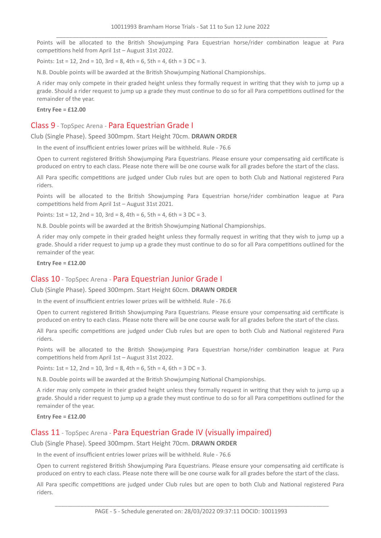Points will be allocated to the British Showjumping Para Equestrian horse/rider combination league at Para competitions held from April 1st – August 31st 2022.

Points:  $1st = 12$ ,  $2nd = 10$ ,  $3rd = 8$ ,  $4th = 6$ ,  $5th = 4$ ,  $6th = 3$  DC = 3.

N.B. Double points will be awarded at the British Showjumping National Championships.

A rider may only compete in their graded height unless they formally request in writing that they wish to jump up a grade. Should a rider request to jump up a grade they must continue to do so for all Para competitions outlined for the remainder of the year.

#### **Entry Fee = £12.00**

#### Class 9 - TopSpec Arena - Para Equestrian Grade I

Club (Single Phase). Speed 300mpm. Start Height 70cm. **DRAWN ORDER**

In the event of insufficient entries lower prizes will be withheld. Rule - 76.6

Open to current registered British Showjumping Para Equestrians. Please ensure your compensating aid certificate is produced on entry to each class. Please note there will be one course walk for all grades before the start of the class.

All Para specific competitions are judged under Club rules but are open to both Club and National registered Para riders.

Points will be allocated to the British Showjumping Para Equestrian horse/rider combination league at Para competitions held from April 1st – August 31st 2021.

Points:  $1st = 12$ ,  $2nd = 10$ ,  $3rd = 8$ ,  $4th = 6$ ,  $5th = 4$ ,  $6th = 3$  DC = 3.

N.B. Double points will be awarded at the British Showjumping National Championships.

A rider may only compete in their graded height unless they formally request in writing that they wish to jump up a grade. Should a rider request to jump up a grade they must continue to do so for all Para competitions outlined for the remainder of the year.

#### **Entry Fee = £12.00**

# Class 10 - TopSpec Arena - Para Equestrian Junior Grade I

Club (Single Phase). Speed 300mpm. Start Height 60cm. **DRAWN ORDER**

In the event of insufficient entries lower prizes will be withheld. Rule - 76.6

Open to current registered British Showjumping Para Equestrians. Please ensure your compensating aid certificate is produced on entry to each class. Please note there will be one course walk for all grades before the start of the class.

All Para specific competitions are judged under Club rules but are open to both Club and National registered Para riders.

Points will be allocated to the British Showjumping Para Equestrian horse/rider combination league at Para competitions held from April 1st – August 31st 2022.

Points:  $1st = 12$ ,  $2nd = 10$ ,  $3rd = 8$ ,  $4th = 6$ ,  $5th = 4$ ,  $6th = 3$  DC = 3.

N.B. Double points will be awarded at the British Showjumping National Championships.

A rider may only compete in their graded height unless they formally request in writing that they wish to jump up a grade. Should a rider request to jump up a grade they must continue to do so for all Para competitions outlined for the remainder of the year.

**Entry Fee = £12.00**

#### Class 11 - TopSpec Arena - Para Equestrian Grade IV (visually impaired)

Club (Single Phase). Speed 300mpm. Start Height 70cm. **DRAWN ORDER**

In the event of insufficient entries lower prizes will be withheld. Rule - 76.6

Open to current registered British Showjumping Para Equestrians. Please ensure your compensating aid certificate is produced on entry to each class. Please note there will be one course walk for all grades before the start of the class.

All Para specific competitions are judged under Club rules but are open to both Club and National registered Para riders.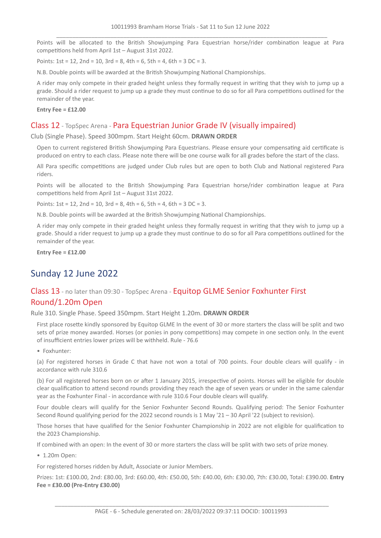Points will be allocated to the British Showjumping Para Equestrian horse/rider combination league at Para competitions held from April 1st – August 31st 2022.

Points:  $1st = 12$ ,  $2nd = 10$ ,  $3rd = 8$ ,  $4th = 6$ ,  $5th = 4$ ,  $6th = 3$  DC = 3.

N.B. Double points will be awarded at the British Showjumping National Championships.

A rider may only compete in their graded height unless they formally request in writing that they wish to jump up a grade. Should a rider request to jump up a grade they must continue to do so for all Para competitions outlined for the remainder of the year.

**Entry Fee = £12.00**

# Class 12 - TopSpec Arena - Para Equestrian Junior Grade IV (visually impaired)

Club (Single Phase). Speed 300mpm. Start Height 60cm. **DRAWN ORDER**

Open to current registered British Showjumping Para Equestrians. Please ensure your compensating aid certificate is produced on entry to each class. Please note there will be one course walk for all grades before the start of the class.

All Para specific competitions are judged under Club rules but are open to both Club and National registered Para riders.

Points will be allocated to the British Showjumping Para Equestrian horse/rider combination league at Para competitions held from April 1st – August 31st 2022.

Points: 1st = 12, 2nd = 10, 3rd = 8, 4th = 6, 5th = 4, 6th = 3 DC = 3.

N.B. Double points will be awarded at the British Showjumping National Championships.

A rider may only compete in their graded height unless they formally request in writing that they wish to jump up a grade. Should a rider request to jump up a grade they must continue to do so for all Para competitions outlined for the remainder of the year.

**Entry Fee = £12.00**

# Sunday 12 June 2022

# Class 13 - no later than 09:30 - TopSpec Arena - Equitop GLME Senior Foxhunter First Round/1.20m Open

Rule 310. Single Phase. Speed 350mpm. Start Height 1.20m. **DRAWN ORDER**

First place rosette kindly sponsored by Equitop GLME In the event of 30 or more starters the class will be split and two sets of prize money awarded. Horses (or ponies in pony competitions) may compete in one section only. In the event of insufficient entries lower prizes will be withheld. Rule - 76.6

• Foxhunter:

(a) For registered horses in Grade C that have not won a total of 700 points. Four double clears will qualify - in accordance with rule 310.6

(b) For all registered horses born on or after 1 January 2015, irrespective of points. Horses will be eligible for double clear qualification to attend second rounds providing they reach the age of seven years or under in the same calendar year as the Foxhunter Final - in accordance with rule 310.6 Four double clears will qualify.

Four double clears will qualify for the Senior Foxhunter Second Rounds. Qualifying period: The Senior Foxhunter Second Round qualifying period for the 2022 second rounds is 1 May '21 – 30 April '22 (subject to revision).

Those horses that have qualified for the Senior Foxhunter Championship in 2022 are not eligible for qualification to the 2023 Championship.

If combined with an open: In the event of 30 or more starters the class will be split with two sets of prize money.

• 1.20m Open:

For registered horses ridden by Adult, Associate or Junior Members.

Prizes: 1st: £100.00, 2nd: £80.00, 3rd: £60.00, 4th: £50.00, 5th: £40.00, 6th: £30.00, 7th: £30.00, Total: £390.00. **Entry Fee = £30.00 (Pre-Entry £30.00)**